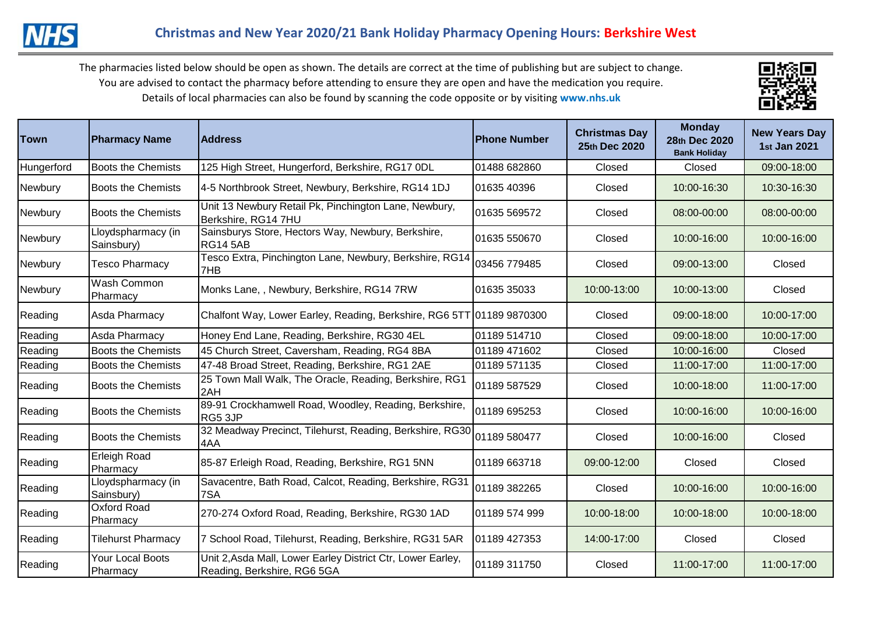

The pharmacies listed below should be open as shown. The details are correct at the time of publishing but are subject to change. You are advised to contact the pharmacy before attending to ensure they are open and have the medication you require. Details of local pharmacies can also be found by scanning the code opposite or by visiting **www.nhs.uk** 



| <b>Town</b> | <b>Pharmacy Name</b>             | <b>Address</b>                                                                             | <b>Phone Number</b> | <b>Christmas Day</b><br>25th Dec 2020 | <b>Monday</b><br>28th Dec 2020<br><b>Bank Holiday</b> | <b>New Years Day</b><br>1st Jan 2021 |
|-------------|----------------------------------|--------------------------------------------------------------------------------------------|---------------------|---------------------------------------|-------------------------------------------------------|--------------------------------------|
| Hungerford  | <b>Boots the Chemists</b>        | 125 High Street, Hungerford, Berkshire, RG17 0DL                                           | 01488 682860        | Closed                                | Closed                                                | 09:00-18:00                          |
| Newbury     | <b>Boots the Chemists</b>        | 4-5 Northbrook Street, Newbury, Berkshire, RG14 1DJ                                        | 01635 40396         | Closed                                | 10:00-16:30                                           | 10:30-16:30                          |
| Newbury     | <b>Boots the Chemists</b>        | Unit 13 Newbury Retail Pk, Pinchington Lane, Newbury,<br>Berkshire, RG14 7HU               | 01635 569572        | Closed                                | 08:00-00:00                                           | 08:00-00:00                          |
| Newbury     | Lloydspharmacy (in<br>Sainsbury) | Sainsburys Store, Hectors Way, Newbury, Berkshire,<br><b>RG14 5AB</b>                      | 01635 550670        | Closed                                | 10:00-16:00                                           | 10:00-16:00                          |
| Newbury     | <b>Tesco Pharmacy</b>            | Tesco Extra, Pinchington Lane, Newbury, Berkshire, RG14<br>7HB                             | 03456 779485        | Closed                                | 09:00-13:00                                           | Closed                               |
| Newbury     | Wash Common<br>Pharmacy          | Monks Lane, , Newbury, Berkshire, RG14 7RW                                                 | 01635 35033         | 10:00-13:00                           | 10:00-13:00                                           | Closed                               |
| Reading     | Asda Pharmacy                    | Chalfont Way, Lower Earley, Reading, Berkshire, RG6 5TT 01189 9870300                      |                     | Closed                                | 09:00-18:00                                           | 10:00-17:00                          |
| Reading     | Asda Pharmacy                    | Honey End Lane, Reading, Berkshire, RG30 4EL                                               | 01189 514710        | Closed                                | 09:00-18:00                                           | 10:00-17:00                          |
| Reading     | Boots the Chemists               | 45 Church Street, Caversham, Reading, RG4 8BA                                              | 01189 471602        | Closed                                | 10:00-16:00                                           | Closed                               |
| Reading     | <b>Boots the Chemists</b>        | 47-48 Broad Street, Reading, Berkshire, RG1 2AE                                            | 01189 571135        | Closed                                | 11:00-17:00                                           | 11:00-17:00                          |
| Reading     | <b>Boots the Chemists</b>        | 25 Town Mall Walk, The Oracle, Reading, Berkshire, RG1<br>2AH                              | 01189 587529        | Closed                                | 10:00-18:00                                           | 11:00-17:00                          |
| Reading     | <b>Boots the Chemists</b>        | 89-91 Crockhamwell Road, Woodley, Reading, Berkshire,<br>RG5 3JP                           | 01189 695253        | Closed                                | 10:00-16:00                                           | 10:00-16:00                          |
| Reading     | <b>Boots the Chemists</b>        | 32 Meadway Precinct, Tilehurst, Reading, Berkshire, RG30 01189 580477<br>4AA               |                     | Closed                                | 10:00-16:00                                           | Closed                               |
| Reading     | Erleigh Road<br>Pharmacy         | 85-87 Erleigh Road, Reading, Berkshire, RG1 5NN                                            | 01189 663718        | 09:00-12:00                           | Closed                                                | Closed                               |
| Reading     | Lloydspharmacy (in<br>Sainsbury) | Savacentre, Bath Road, Calcot, Reading, Berkshire, RG31<br>7SA                             | 01189 382265        | Closed                                | 10:00-16:00                                           | 10:00-16:00                          |
| Reading     | Oxford Road<br>Pharmacy          | 270-274 Oxford Road, Reading, Berkshire, RG30 1AD                                          | 01189 574 999       | 10:00-18:00                           | 10:00-18:00                                           | 10:00-18:00                          |
| Reading     | <b>Tilehurst Pharmacy</b>        | 7 School Road, Tilehurst, Reading, Berkshire, RG31 5AR                                     | 01189 427353        | 14:00-17:00                           | Closed                                                | Closed                               |
| Reading     | Your Local Boots<br>Pharmacy     | Unit 2, Asda Mall, Lower Earley District Ctr, Lower Earley,<br>Reading, Berkshire, RG6 5GA | 01189 311750        | Closed                                | 11:00-17:00                                           | 11:00-17:00                          |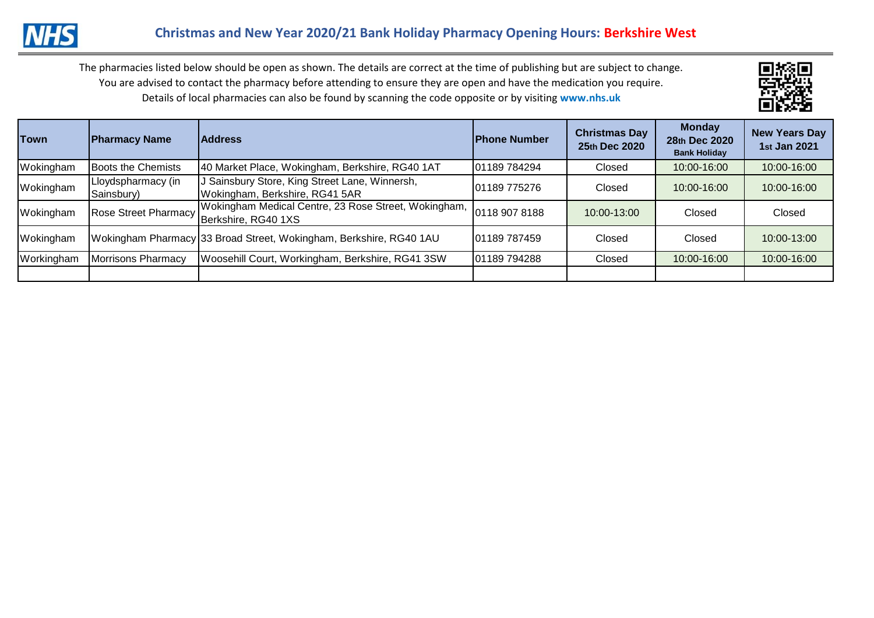

The pharmacies listed below should be open as shown. The details are correct at the time of publishing but are subject to change. You are advised to contact the pharmacy before attending to ensure they are open and have the medication you require. Details of local pharmacies can also be found by scanning the code opposite or by visiting **www.nhs.uk** 



| <b>Town</b> | <b>Pharmacy Name</b>             | <b>Address</b>                                                                                   | <b>IPhone Number</b> | <b>Christmas Day</b><br>25th Dec 2020 | <b>Monday</b><br>28th Dec 2020<br><b>Bank Holiday</b> | <b>New Years Day</b><br>1st Jan 2021 |
|-------------|----------------------------------|--------------------------------------------------------------------------------------------------|----------------------|---------------------------------------|-------------------------------------------------------|--------------------------------------|
| Wokingham   | Boots the Chemists               | 40 Market Place, Wokingham, Berkshire, RG40 1AT                                                  | 01189 784294         | Closed                                | 10:00-16:00                                           | 10:00-16:00                          |
| Wokingham   | Lloydspharmacy (in<br>Sainsbury) | J Sainsbury Store, King Street Lane, Winnersh,<br>Wokingham, Berkshire, RG41 5AR                 | 01189 775276         | Closed                                | 10:00-16:00                                           | 10:00-16:00                          |
| Wokingham   |                                  | Wokingham Medical Centre, 23 Rose Street, Wokingham,<br>Rose Street Pharmacy Berkshire, RG40 1XS | 0118 907 8188        | 10:00-13:00                           | Closed                                                | Closed                               |
| Wokingham   |                                  | Wokingham Pharmacy 33 Broad Street, Wokingham, Berkshire, RG40 1AU                               | 01189 787459         | Closed                                | Closed                                                | 10:00-13:00                          |
| Workingham  | <b>Morrisons Pharmacy</b>        | Woosehill Court, Workingham, Berkshire, RG41 3SW                                                 | 01189 794288         | Closed                                | 10:00-16:00                                           | 10:00-16:00                          |
|             |                                  |                                                                                                  |                      |                                       |                                                       |                                      |